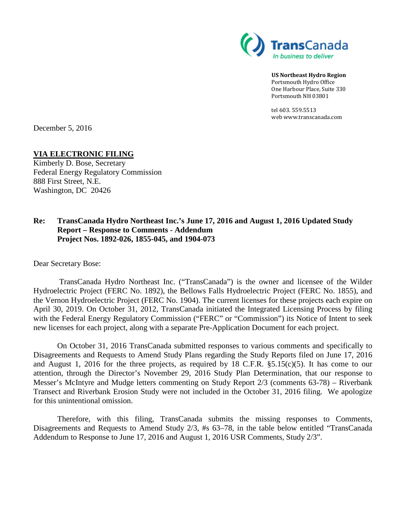

**US Northeast Hydro Region** Portsmouth Hydro Office One Harbour Place, Suite 330 Portsmouth NH 03801

tel 603. 559.5513 web www.transcanada.com

December 5, 2016

## **VIA ELECTRONIC FILING**

Kimberly D. Bose, Secretary Federal Energy Regulatory Commission 888 First Street, N.E. Washington, DC 20426

## **Re: TransCanada Hydro Northeast Inc.'s June 17, 2016 and August 1, 2016 Updated Study Report – Response to Comments - Addendum Project Nos. 1892-026, 1855-045, and 1904-073**

Dear Secretary Bose:

TransCanada Hydro Northeast Inc. ("TransCanada") is the owner and licensee of the Wilder Hydroelectric Project (FERC No. 1892), the Bellows Falls Hydroelectric Project (FERC No. 1855), and the Vernon Hydroelectric Project (FERC No. 1904). The current licenses for these projects each expire on April 30, 2019. On October 31, 2012, TransCanada initiated the Integrated Licensing Process by filing with the Federal Energy Regulatory Commission ("FERC" or "Commission") its Notice of Intent to seek new licenses for each project, along with a separate Pre-Application Document for each project.

On October 31, 2016 TransCanada submitted responses to various comments and specifically to Disagreements and Requests to Amend Study Plans regarding the Study Reports filed on June 17, 2016 and August 1, 2016 for the three projects, as required by 18 C.F.R. §5.15(c)(5). It has come to our attention, through the Director's November 29, 2016 Study Plan Determination, that our response to Messer's McIntyre and Mudge letters commenting on Study Report 2/3 (comments 63-78) – Riverbank Transect and Riverbank Erosion Study were not included in the October 31, 2016 filing. We apologize for this unintentional omission.

Therefore, with this filing, TransCanada submits the missing responses to Comments, Disagreements and Requests to Amend Study 2/3, #s 63–78, in the table below entitled "TransCanada Addendum to Response to June 17, 2016 and August 1, 2016 USR Comments, Study 2/3".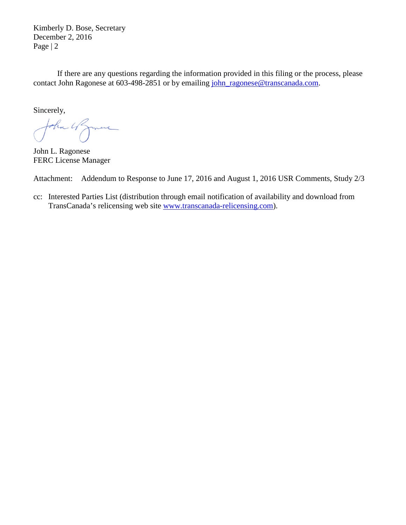Kimberly D. Bose, Secretary December 2, 2016 Page | 2

If there are any questions regarding the information provided in this filing or the process, please contact John Ragonese at 603-498-2851 or by emailing [john\\_ragonese@transcanada.com.](mailto:john_ragonese@transcanada.com)

Sincerely,

John 4 Jame

John L. Ragonese FERC License Manager

Attachment: Addendum to Response to June 17, 2016 and August 1, 2016 USR Comments, Study 2/3

cc: Interested Parties List (distribution through email notification of availability and download from TransCanada's relicensing web site [www.transcanada-relicensing.com\)](http://www.transcanada-relicensing.com/).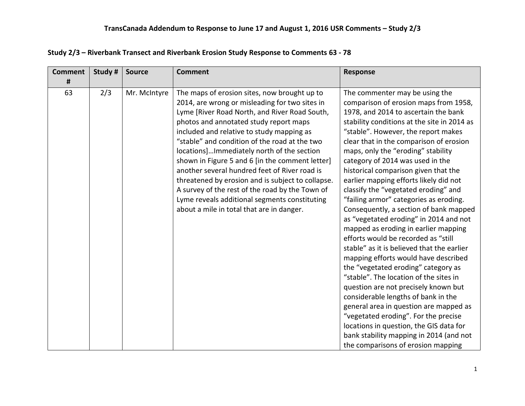| <b>Comment</b> | Study # | <b>Source</b> | <b>Comment</b>                                    | <b>Response</b>                             |
|----------------|---------|---------------|---------------------------------------------------|---------------------------------------------|
| #              |         |               |                                                   |                                             |
| 63             | 2/3     | Mr. McIntyre  | The maps of erosion sites, now brought up to      | The commenter may be using the              |
|                |         |               | 2014, are wrong or misleading for two sites in    | comparison of erosion maps from 1958,       |
|                |         |               | Lyme [River Road North, and River Road South,     | 1978, and 2014 to ascertain the bank        |
|                |         |               | photos and annotated study report maps            | stability conditions at the site in 2014 as |
|                |         |               | included and relative to study mapping as         | "stable". However, the report makes         |
|                |         |               | "stable" and condition of the road at the two     | clear that in the comparison of erosion     |
|                |         |               | locations]Immediately north of the section        | maps, only the "eroding" stability          |
|                |         |               | shown in Figure 5 and 6 [in the comment letter]   | category of 2014 was used in the            |
|                |         |               | another several hundred feet of River road is     | historical comparison given that the        |
|                |         |               | threatened by erosion and is subject to collapse. | earlier mapping efforts likely did not      |
|                |         |               | A survey of the rest of the road by the Town of   | classify the "vegetated eroding" and        |
|                |         |               | Lyme reveals additional segments constituting     | "failing armor" categories as eroding.      |
|                |         |               | about a mile in total that are in danger.         | Consequently, a section of bank mapped      |
|                |         |               |                                                   | as "vegetated eroding" in 2014 and not      |
|                |         |               |                                                   | mapped as eroding in earlier mapping        |
|                |         |               |                                                   | efforts would be recorded as "still         |
|                |         |               |                                                   | stable" as it is believed that the earlier  |
|                |         |               |                                                   | mapping efforts would have described        |
|                |         |               |                                                   | the "vegetated eroding" category as         |
|                |         |               |                                                   | "stable". The location of the sites in      |
|                |         |               |                                                   | question are not precisely known but        |
|                |         |               |                                                   | considerable lengths of bank in the         |
|                |         |               |                                                   | general area in question are mapped as      |
|                |         |               |                                                   | "vegetated eroding". For the precise        |
|                |         |               |                                                   | locations in question, the GIS data for     |
|                |         |               |                                                   | bank stability mapping in 2014 (and not     |
|                |         |               |                                                   | the comparisons of erosion mapping          |

## **Study 2/3 – Riverbank Transect and Riverbank Erosion Study Response to Comments 63 - 78**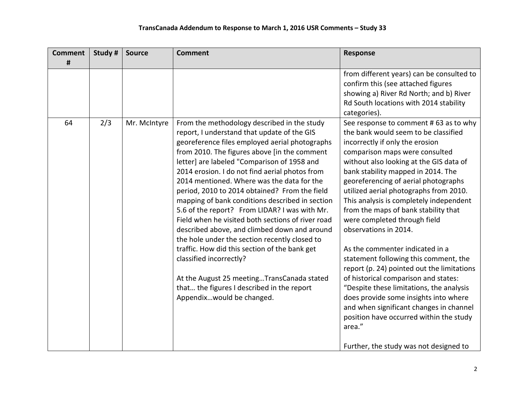| <b>Comment</b> | Study # | <b>Source</b> | <b>Comment</b>                                                                                                                                                                                                                                                                                                                                                                                                                                                                                                                                                                                                                                                                                                                                                                                                                                              | <b>Response</b>                                                                                                                                                                                                                                                                                                                                                                                                                                                                                                                                                                                                                                                                                                                                                                                                                                                     |
|----------------|---------|---------------|-------------------------------------------------------------------------------------------------------------------------------------------------------------------------------------------------------------------------------------------------------------------------------------------------------------------------------------------------------------------------------------------------------------------------------------------------------------------------------------------------------------------------------------------------------------------------------------------------------------------------------------------------------------------------------------------------------------------------------------------------------------------------------------------------------------------------------------------------------------|---------------------------------------------------------------------------------------------------------------------------------------------------------------------------------------------------------------------------------------------------------------------------------------------------------------------------------------------------------------------------------------------------------------------------------------------------------------------------------------------------------------------------------------------------------------------------------------------------------------------------------------------------------------------------------------------------------------------------------------------------------------------------------------------------------------------------------------------------------------------|
| #              |         |               |                                                                                                                                                                                                                                                                                                                                                                                                                                                                                                                                                                                                                                                                                                                                                                                                                                                             |                                                                                                                                                                                                                                                                                                                                                                                                                                                                                                                                                                                                                                                                                                                                                                                                                                                                     |
| 64             |         |               |                                                                                                                                                                                                                                                                                                                                                                                                                                                                                                                                                                                                                                                                                                                                                                                                                                                             | from different years) can be consulted to<br>confirm this (see attached figures<br>showing a) River Rd North; and b) River<br>Rd South locations with 2014 stability<br>categories).                                                                                                                                                                                                                                                                                                                                                                                                                                                                                                                                                                                                                                                                                |
|                | 2/3     | Mr. McIntyre  | From the methodology described in the study<br>report, I understand that update of the GIS<br>georeference files employed aerial photographs<br>from 2010. The figures above [in the comment<br>letter] are labeled "Comparison of 1958 and<br>2014 erosion. I do not find aerial photos from<br>2014 mentioned. Where was the data for the<br>period, 2010 to 2014 obtained? From the field<br>mapping of bank conditions described in section<br>5.6 of the report? From LIDAR? I was with Mr.<br>Field when he visited both sections of river road<br>described above, and climbed down and around<br>the hole under the section recently closed to<br>traffic. How did this section of the bank get<br>classified incorrectly?<br>At the August 25 meetingTransCanada stated<br>that the figures I described in the report<br>Appendixwould be changed. | See response to comment # 63 as to why<br>the bank would seem to be classified<br>incorrectly if only the erosion<br>comparison maps were consulted<br>without also looking at the GIS data of<br>bank stability mapped in 2014. The<br>georeferencing of aerial photographs<br>utilized aerial photographs from 2010.<br>This analysis is completely independent<br>from the maps of bank stability that<br>were completed through field<br>observations in 2014.<br>As the commenter indicated in a<br>statement following this comment, the<br>report (p. 24) pointed out the limitations<br>of historical comparison and states:<br>"Despite these limitations, the analysis<br>does provide some insights into where<br>and when significant changes in channel<br>position have occurred within the study<br>area."<br>Further, the study was not designed to |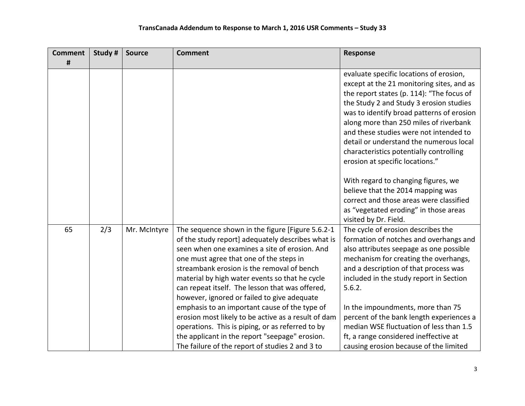| <b>Comment</b> | Study # | <b>Source</b> | <b>Comment</b>                                                                                                                                                                                                                                                                                                                                                                                                                                                                                                                                                                                                                                                       | Response                                                                                                                                                                                                                                                                                                                                                                                                                                                                                                                                                                                               |
|----------------|---------|---------------|----------------------------------------------------------------------------------------------------------------------------------------------------------------------------------------------------------------------------------------------------------------------------------------------------------------------------------------------------------------------------------------------------------------------------------------------------------------------------------------------------------------------------------------------------------------------------------------------------------------------------------------------------------------------|--------------------------------------------------------------------------------------------------------------------------------------------------------------------------------------------------------------------------------------------------------------------------------------------------------------------------------------------------------------------------------------------------------------------------------------------------------------------------------------------------------------------------------------------------------------------------------------------------------|
| #              |         |               |                                                                                                                                                                                                                                                                                                                                                                                                                                                                                                                                                                                                                                                                      |                                                                                                                                                                                                                                                                                                                                                                                                                                                                                                                                                                                                        |
|                |         |               |                                                                                                                                                                                                                                                                                                                                                                                                                                                                                                                                                                                                                                                                      | evaluate specific locations of erosion,<br>except at the 21 monitoring sites, and as<br>the report states (p. 114): "The focus of<br>the Study 2 and Study 3 erosion studies<br>was to identify broad patterns of erosion<br>along more than 250 miles of riverbank<br>and these studies were not intended to<br>detail or understand the numerous local<br>characteristics potentially controlling<br>erosion at specific locations."<br>With regard to changing figures, we<br>believe that the 2014 mapping was<br>correct and those areas were classified<br>as "vegetated eroding" in those areas |
| 65             | 2/3     | Mr. McIntyre  | The sequence shown in the figure [Figure 5.6.2-1<br>of the study report] adequately describes what is<br>seen when one examines a site of erosion. And<br>one must agree that one of the steps in<br>streambank erosion is the removal of bench<br>material by high water events so that he cycle<br>can repeat itself. The lesson that was offered,<br>however, ignored or failed to give adequate<br>emphasis to an important cause of the type of<br>erosion most likely to be active as a result of dam<br>operations. This is piping, or as referred to by<br>the applicant in the report "seepage" erosion.<br>The failure of the report of studies 2 and 3 to | visited by Dr. Field.<br>The cycle of erosion describes the<br>formation of notches and overhangs and<br>also attributes seepage as one possible<br>mechanism for creating the overhangs,<br>and a description of that process was<br>included in the study report in Section<br>5.6.2.<br>In the impoundments, more than 75<br>percent of the bank length experiences a<br>median WSE fluctuation of less than 1.5<br>ft, a range considered ineffective at<br>causing erosion because of the limited                                                                                                 |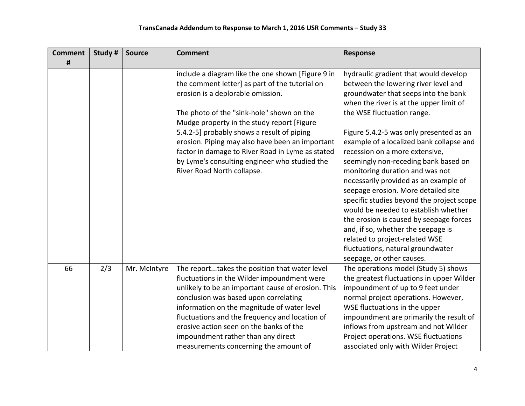| <b>Comment</b> | Study # | <b>Source</b> | <b>Comment</b>                                                                                                                                                                                                                                                                                                                                                                                                                                                          | <b>Response</b>                                                                                                                                                                                                                                                                                                                                                                                                                                                                                                                                                                                                                                                                                                                                              |
|----------------|---------|---------------|-------------------------------------------------------------------------------------------------------------------------------------------------------------------------------------------------------------------------------------------------------------------------------------------------------------------------------------------------------------------------------------------------------------------------------------------------------------------------|--------------------------------------------------------------------------------------------------------------------------------------------------------------------------------------------------------------------------------------------------------------------------------------------------------------------------------------------------------------------------------------------------------------------------------------------------------------------------------------------------------------------------------------------------------------------------------------------------------------------------------------------------------------------------------------------------------------------------------------------------------------|
| #              |         |               |                                                                                                                                                                                                                                                                                                                                                                                                                                                                         |                                                                                                                                                                                                                                                                                                                                                                                                                                                                                                                                                                                                                                                                                                                                                              |
|                |         |               | include a diagram like the one shown [Figure 9 in<br>the comment letter] as part of the tutorial on<br>erosion is a deplorable omission.<br>The photo of the "sink-hole" shown on the<br>Mudge property in the study report [Figure<br>5.4.2-5] probably shows a result of piping<br>erosion. Piping may also have been an important<br>factor in damage to River Road in Lyme as stated<br>by Lyme's consulting engineer who studied the<br>River Road North collapse. | hydraulic gradient that would develop<br>between the lowering river level and<br>groundwater that seeps into the bank<br>when the river is at the upper limit of<br>the WSE fluctuation range.<br>Figure 5.4.2-5 was only presented as an<br>example of a localized bank collapse and<br>recession on a more extensive,<br>seemingly non-receding bank based on<br>monitoring duration and was not<br>necessarily provided as an example of<br>seepage erosion. More detailed site<br>specific studies beyond the project scope<br>would be needed to establish whether<br>the erosion is caused by seepage forces<br>and, if so, whether the seepage is<br>related to project-related WSE<br>fluctuations, natural groundwater<br>seepage, or other causes. |
| 66             | 2/3     | Mr. McIntyre  | The reporttakes the position that water level<br>fluctuations in the Wilder impoundment were<br>unlikely to be an important cause of erosion. This<br>conclusion was based upon correlating<br>information on the magnitude of water level<br>fluctuations and the frequency and location of<br>erosive action seen on the banks of the<br>impoundment rather than any direct<br>measurements concerning the amount of                                                  | The operations model (Study 5) shows<br>the greatest fluctuations in upper Wilder<br>impoundment of up to 9 feet under<br>normal project operations. However,<br>WSE fluctuations in the upper<br>impoundment are primarily the result of<br>inflows from upstream and not Wilder<br>Project operations. WSE fluctuations<br>associated only with Wilder Project                                                                                                                                                                                                                                                                                                                                                                                             |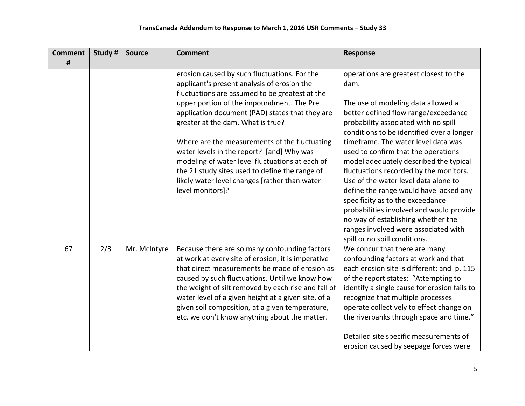| <b>Comment</b> | Study # | <b>Source</b> | <b>Comment</b>                                                                                                                                                                                                                                                                                                                                                                                                                                                                                                                                             | <b>Response</b>                                                                                                                                                                                                                                                                                                                                                                                                                                                                                                                                                                                                                                                      |
|----------------|---------|---------------|------------------------------------------------------------------------------------------------------------------------------------------------------------------------------------------------------------------------------------------------------------------------------------------------------------------------------------------------------------------------------------------------------------------------------------------------------------------------------------------------------------------------------------------------------------|----------------------------------------------------------------------------------------------------------------------------------------------------------------------------------------------------------------------------------------------------------------------------------------------------------------------------------------------------------------------------------------------------------------------------------------------------------------------------------------------------------------------------------------------------------------------------------------------------------------------------------------------------------------------|
| #              |         |               |                                                                                                                                                                                                                                                                                                                                                                                                                                                                                                                                                            |                                                                                                                                                                                                                                                                                                                                                                                                                                                                                                                                                                                                                                                                      |
|                |         |               | erosion caused by such fluctuations. For the<br>applicant's present analysis of erosion the<br>fluctuations are assumed to be greatest at the<br>upper portion of the impoundment. The Pre<br>application document (PAD) states that they are<br>greater at the dam. What is true?<br>Where are the measurements of the fluctuating<br>water levels in the report? [and] Why was<br>modeling of water level fluctuations at each of<br>the 21 study sites used to define the range of<br>likely water level changes [rather than water<br>level monitors]? | operations are greatest closest to the<br>dam.<br>The use of modeling data allowed a<br>better defined flow range/exceedance<br>probability associated with no spill<br>conditions to be identified over a longer<br>timeframe. The water level data was<br>used to confirm that the operations<br>model adequately described the typical<br>fluctuations recorded by the monitors.<br>Use of the water level data alone to<br>define the range would have lacked any<br>specificity as to the exceedance<br>probabilities involved and would provide<br>no way of establishing whether the<br>ranges involved were associated with<br>spill or no spill conditions. |
| 67             | 2/3     | Mr. McIntyre  | Because there are so many confounding factors<br>at work at every site of erosion, it is imperative<br>that direct measurements be made of erosion as<br>caused by such fluctuations. Until we know how<br>the weight of silt removed by each rise and fall of<br>water level of a given height at a given site, of a<br>given soil composition, at a given temperature,<br>etc. we don't know anything about the matter.                                                                                                                                  | We concur that there are many<br>confounding factors at work and that<br>each erosion site is different; and p. 115<br>of the report states: "Attempting to<br>identify a single cause for erosion fails to<br>recognize that multiple processes<br>operate collectively to effect change on<br>the riverbanks through space and time."<br>Detailed site specific measurements of<br>erosion caused by seepage forces were                                                                                                                                                                                                                                           |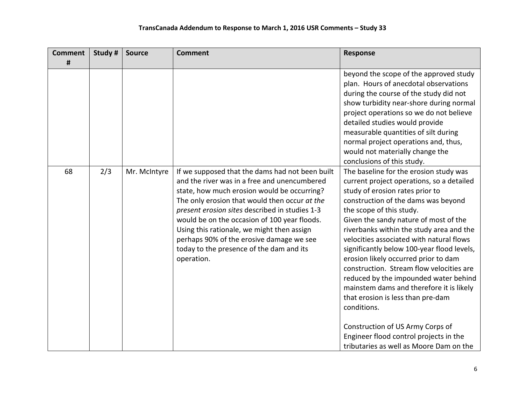| <b>Comment</b> | Study # | <b>Source</b> | <b>Comment</b>                                                                                                                                                                                                                                                                                                                                                                                                                                        | <b>Response</b>                                                                                                                                                                                                                                                                                                                                                                                                                                                                                                                                                                                                                                                                                                                |
|----------------|---------|---------------|-------------------------------------------------------------------------------------------------------------------------------------------------------------------------------------------------------------------------------------------------------------------------------------------------------------------------------------------------------------------------------------------------------------------------------------------------------|--------------------------------------------------------------------------------------------------------------------------------------------------------------------------------------------------------------------------------------------------------------------------------------------------------------------------------------------------------------------------------------------------------------------------------------------------------------------------------------------------------------------------------------------------------------------------------------------------------------------------------------------------------------------------------------------------------------------------------|
| #              |         |               |                                                                                                                                                                                                                                                                                                                                                                                                                                                       |                                                                                                                                                                                                                                                                                                                                                                                                                                                                                                                                                                                                                                                                                                                                |
|                |         |               |                                                                                                                                                                                                                                                                                                                                                                                                                                                       | beyond the scope of the approved study<br>plan. Hours of anecdotal observations<br>during the course of the study did not<br>show turbidity near-shore during normal<br>project operations so we do not believe<br>detailed studies would provide<br>measurable quantities of silt during<br>normal project operations and, thus,<br>would not materially change the<br>conclusions of this study.                                                                                                                                                                                                                                                                                                                             |
| 68             | 2/3     | Mr. McIntyre  | If we supposed that the dams had not been built<br>and the river was in a free and unencumbered<br>state, how much erosion would be occurring?<br>The only erosion that would then occur at the<br>present erosion sites described in studies 1-3<br>would be on the occasion of 100 year floods.<br>Using this rationale, we might then assign<br>perhaps 90% of the erosive damage we see<br>today to the presence of the dam and its<br>operation. | The baseline for the erosion study was<br>current project operations, so a detailed<br>study of erosion rates prior to<br>construction of the dams was beyond<br>the scope of this study.<br>Given the sandy nature of most of the<br>riverbanks within the study area and the<br>velocities associated with natural flows<br>significantly below 100-year flood levels,<br>erosion likely occurred prior to dam<br>construction. Stream flow velocities are<br>reduced by the impounded water behind<br>mainstem dams and therefore it is likely<br>that erosion is less than pre-dam<br>conditions.<br>Construction of US Army Corps of<br>Engineer flood control projects in the<br>tributaries as well as Moore Dam on the |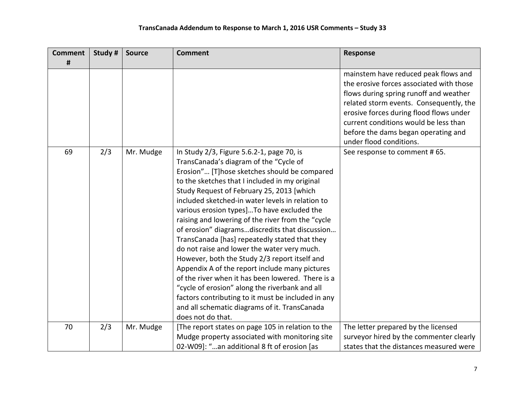| <b>Comment</b> | Study # | <b>Source</b> | <b>Comment</b>                                                                                                                                                                                                                                                                                                                                                                                                                                                                                                                                                                                                                                                                                                                                                                                                                                                                     | <b>Response</b>                                                                                                                                                                                                                                                                                                             |
|----------------|---------|---------------|------------------------------------------------------------------------------------------------------------------------------------------------------------------------------------------------------------------------------------------------------------------------------------------------------------------------------------------------------------------------------------------------------------------------------------------------------------------------------------------------------------------------------------------------------------------------------------------------------------------------------------------------------------------------------------------------------------------------------------------------------------------------------------------------------------------------------------------------------------------------------------|-----------------------------------------------------------------------------------------------------------------------------------------------------------------------------------------------------------------------------------------------------------------------------------------------------------------------------|
| #              |         |               |                                                                                                                                                                                                                                                                                                                                                                                                                                                                                                                                                                                                                                                                                                                                                                                                                                                                                    |                                                                                                                                                                                                                                                                                                                             |
|                |         |               |                                                                                                                                                                                                                                                                                                                                                                                                                                                                                                                                                                                                                                                                                                                                                                                                                                                                                    | mainstem have reduced peak flows and<br>the erosive forces associated with those<br>flows during spring runoff and weather<br>related storm events. Consequently, the<br>erosive forces during flood flows under<br>current conditions would be less than<br>before the dams began operating and<br>under flood conditions. |
| 69             | 2/3     | Mr. Mudge     | In Study 2/3, Figure 5.6.2-1, page 70, is<br>TransCanada's diagram of the "Cycle of<br>Erosion" [T]hose sketches should be compared<br>to the sketches that I included in my original<br>Study Request of February 25, 2013 [which<br>included sketched-in water levels in relation to<br>various erosion types] To have excluded the<br>raising and lowering of the river from the "cycle<br>of erosion" diagramsdiscredits that discussion<br>TransCanada [has] repeatedly stated that they<br>do not raise and lower the water very much.<br>However, both the Study 2/3 report itself and<br>Appendix A of the report include many pictures<br>of the river when it has been lowered. There is a<br>"cycle of erosion" along the riverbank and all<br>factors contributing to it must be included in any<br>and all schematic diagrams of it. TransCanada<br>does not do that. | See response to comment #65.                                                                                                                                                                                                                                                                                                |
| 70             | 2/3     | Mr. Mudge     | [The report states on page 105 in relation to the                                                                                                                                                                                                                                                                                                                                                                                                                                                                                                                                                                                                                                                                                                                                                                                                                                  | The letter prepared by the licensed                                                                                                                                                                                                                                                                                         |
|                |         |               | Mudge property associated with monitoring site                                                                                                                                                                                                                                                                                                                                                                                                                                                                                                                                                                                                                                                                                                                                                                                                                                     | surveyor hired by the commenter clearly                                                                                                                                                                                                                                                                                     |
|                |         |               | 02-W09]: "an additional 8 ft of erosion [as                                                                                                                                                                                                                                                                                                                                                                                                                                                                                                                                                                                                                                                                                                                                                                                                                                        | states that the distances measured were                                                                                                                                                                                                                                                                                     |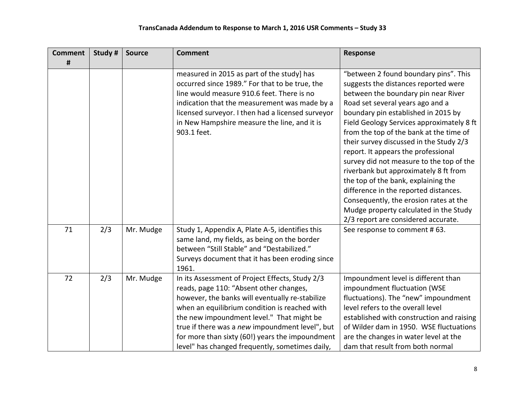| <b>Comment</b> | Study # | <b>Source</b> | <b>Comment</b>                                                                                                                                                                                                                                                                                                                                                                                       | <b>Response</b>                                                                                                                                                                                                                                                                                                                                                                                                                                                                                                                                                                                                                    |
|----------------|---------|---------------|------------------------------------------------------------------------------------------------------------------------------------------------------------------------------------------------------------------------------------------------------------------------------------------------------------------------------------------------------------------------------------------------------|------------------------------------------------------------------------------------------------------------------------------------------------------------------------------------------------------------------------------------------------------------------------------------------------------------------------------------------------------------------------------------------------------------------------------------------------------------------------------------------------------------------------------------------------------------------------------------------------------------------------------------|
| #              |         |               |                                                                                                                                                                                                                                                                                                                                                                                                      |                                                                                                                                                                                                                                                                                                                                                                                                                                                                                                                                                                                                                                    |
|                |         |               | measured in 2015 as part of the study] has<br>occurred since 1989." For that to be true, the<br>line would measure 910.6 feet. There is no<br>indication that the measurement was made by a<br>licensed surveyor. I then had a licensed surveyor<br>in New Hampshire measure the line, and it is<br>903.1 feet.                                                                                      | "between 2 found boundary pins". This<br>suggests the distances reported were<br>between the boundary pin near River<br>Road set several years ago and a<br>boundary pin established in 2015 by<br>Field Geology Services approximately 8 ft<br>from the top of the bank at the time of<br>their survey discussed in the Study 2/3<br>report. It appears the professional<br>survey did not measure to the top of the<br>riverbank but approximately 8 ft from<br>the top of the bank, explaining the<br>difference in the reported distances.<br>Consequently, the erosion rates at the<br>Mudge property calculated in the Study |
| 71             | 2/3     | Mr. Mudge     | Study 1, Appendix A, Plate A-5, identifies this<br>same land, my fields, as being on the border<br>between "Still Stable" and "Destabilized."<br>Surveys document that it has been eroding since<br>1961.                                                                                                                                                                                            | 2/3 report are considered accurate.<br>See response to comment #63.                                                                                                                                                                                                                                                                                                                                                                                                                                                                                                                                                                |
| 72             | 2/3     | Mr. Mudge     | In its Assessment of Project Effects, Study 2/3<br>reads, page 110: "Absent other changes,<br>however, the banks will eventually re-stabilize<br>when an equilibrium condition is reached with<br>the new impoundment level." That might be<br>true if there was a new impoundment level", but<br>for more than sixty (60!) years the impoundment<br>level" has changed frequently, sometimes daily, | Impoundment level is different than<br>impoundment fluctuation (WSE<br>fluctuations). The "new" impoundment<br>level refers to the overall level<br>established with construction and raising<br>of Wilder dam in 1950. WSE fluctuations<br>are the changes in water level at the<br>dam that result from both normal                                                                                                                                                                                                                                                                                                              |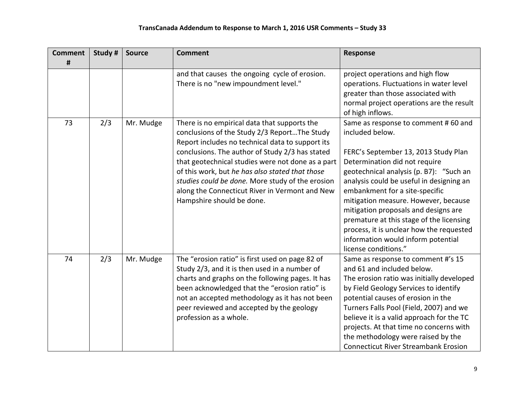| <b>Comment</b> | Study # | <b>Source</b> | <b>Comment</b>                                                                                                                                                                                                                                                                                                                                                                                                                                 | <b>Response</b>                                                                                                                                                                                                                                                                                                                                                                                                                                                                                |
|----------------|---------|---------------|------------------------------------------------------------------------------------------------------------------------------------------------------------------------------------------------------------------------------------------------------------------------------------------------------------------------------------------------------------------------------------------------------------------------------------------------|------------------------------------------------------------------------------------------------------------------------------------------------------------------------------------------------------------------------------------------------------------------------------------------------------------------------------------------------------------------------------------------------------------------------------------------------------------------------------------------------|
| #              |         |               |                                                                                                                                                                                                                                                                                                                                                                                                                                                |                                                                                                                                                                                                                                                                                                                                                                                                                                                                                                |
|                |         |               | and that causes the ongoing cycle of erosion.<br>There is no "new impoundment level."                                                                                                                                                                                                                                                                                                                                                          | project operations and high flow<br>operations. Fluctuations in water level<br>greater than those associated with<br>normal project operations are the result<br>of high inflows.                                                                                                                                                                                                                                                                                                              |
| 73             | 2/3     | Mr. Mudge     | There is no empirical data that supports the<br>conclusions of the Study 2/3 ReportThe Study<br>Report includes no technical data to support its<br>conclusions. The author of Study 2/3 has stated<br>that geotechnical studies were not done as a part<br>of this work, but he has also stated that those<br>studies could be done. More study of the erosion<br>along the Connecticut River in Vermont and New<br>Hampshire should be done. | Same as response to comment #60 and<br>included below.<br>FERC's September 13, 2013 Study Plan<br>Determination did not require<br>geotechnical analysis (p. B7): "Such an<br>analysis could be useful in designing an<br>embankment for a site-specific<br>mitigation measure. However, because<br>mitigation proposals and designs are<br>premature at this stage of the licensing<br>process, it is unclear how the requested<br>information would inform potential<br>license conditions." |
| 74             | 2/3     | Mr. Mudge     | The "erosion ratio" is first used on page 82 of<br>Study 2/3, and it is then used in a number of<br>charts and graphs on the following pages. It has<br>been acknowledged that the "erosion ratio" is<br>not an accepted methodology as it has not been<br>peer reviewed and accepted by the geology<br>profession as a whole.                                                                                                                 | Same as response to comment #'s 15<br>and 61 and included below.<br>The erosion ratio was initially developed<br>by Field Geology Services to identify<br>potential causes of erosion in the<br>Turners Falls Pool (Field, 2007) and we<br>believe it is a valid approach for the TC<br>projects. At that time no concerns with<br>the methodology were raised by the<br><b>Connecticut River Streambank Erosion</b>                                                                           |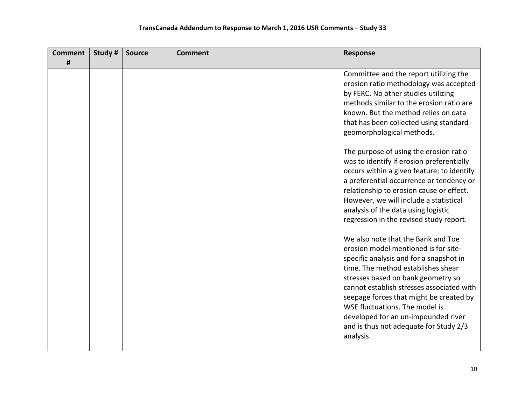| <b>Comment</b> | Study # | <b>Source</b> | <b>Comment</b> | <b>Response</b>                                                                                                                                                                                                                                                                                                                                                                                                           |
|----------------|---------|---------------|----------------|---------------------------------------------------------------------------------------------------------------------------------------------------------------------------------------------------------------------------------------------------------------------------------------------------------------------------------------------------------------------------------------------------------------------------|
| #              |         |               |                |                                                                                                                                                                                                                                                                                                                                                                                                                           |
|                |         |               |                | Committee and the report utilizing the<br>erosion ratio methodology was accepted<br>by FERC. No other studies utilizing<br>methods similar to the erosion ratio are<br>known. But the method relies on data<br>that has been collected using standard<br>geomorphological methods.                                                                                                                                        |
|                |         |               |                | The purpose of using the erosion ratio<br>was to identify if erosion preferentially<br>occurs within a given feature; to identify<br>a preferential occurrence or tendency or<br>relationship to erosion cause or effect.<br>However, we will include a statistical<br>analysis of the data using logistic<br>regression in the revised study report.                                                                     |
|                |         |               |                | We also note that the Bank and Toe<br>erosion model mentioned is for site-<br>specific analysis and for a snapshot in<br>time. The method establishes shear<br>stresses based on bank geometry so<br>cannot establish stresses associated with<br>seepage forces that might be created by<br>WSE fluctuations. The model is<br>developed for an un-impounded river<br>and is thus not adequate for Study 2/3<br>analysis. |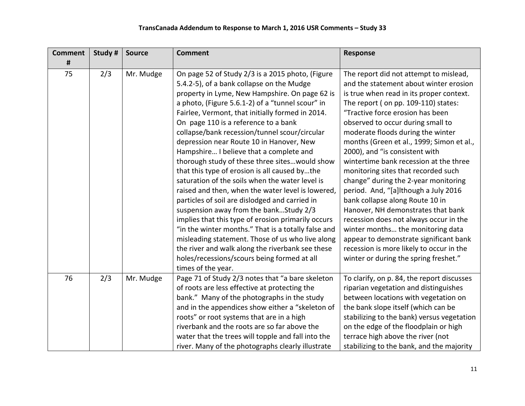| <b>Comment</b> | Study # | <b>Source</b> | <b>Comment</b>                                                                                | <b>Response</b>                                                                  |
|----------------|---------|---------------|-----------------------------------------------------------------------------------------------|----------------------------------------------------------------------------------|
| #              |         |               |                                                                                               |                                                                                  |
| 75             | 2/3     | Mr. Mudge     | On page 52 of Study 2/3 is a 2015 photo, (Figure<br>5.4.2-5), of a bank collapse on the Mudge | The report did not attempt to mislead,<br>and the statement about winter erosion |
|                |         |               |                                                                                               |                                                                                  |
|                |         |               | property in Lyme, New Hampshire. On page 62 is                                                | is true when read in its proper context.                                         |
|                |         |               | a photo, (Figure 5.6.1-2) of a "tunnel scour" in                                              | The report (on pp. 109-110) states:                                              |
|                |         |               | Fairlee, Vermont, that initially formed in 2014.                                              | "Tractive force erosion has been                                                 |
|                |         |               | On page 110 is a reference to a bank                                                          | observed to occur during small to                                                |
|                |         |               | collapse/bank recession/tunnel scour/circular                                                 | moderate floods during the winter                                                |
|                |         |               | depression near Route 10 in Hanover, New                                                      | months (Green et al., 1999; Simon et al.,                                        |
|                |         |               | Hampshire I believe that a complete and                                                       | 2000), and "is consistent with                                                   |
|                |         |               | thorough study of these three sites would show                                                | wintertime bank recession at the three                                           |
|                |         |               | that this type of erosion is all caused bythe                                                 | monitoring sites that recorded such                                              |
|                |         |               | saturation of the soils when the water level is                                               | change" during the 2-year monitoring                                             |
|                |         |               | raised and then, when the water level is lowered,                                             | period. And, "[a]lthough a July 2016                                             |
|                |         |               | particles of soil are dislodged and carried in                                                | bank collapse along Route 10 in                                                  |
|                |         |               | suspension away from the bankStudy 2/3                                                        | Hanover, NH demonstrates that bank                                               |
|                |         |               | implies that this type of erosion primarily occurs                                            | recession does not always occur in the                                           |
|                |         |               | "in the winter months." That is a totally false and                                           | winter months the monitoring data                                                |
|                |         |               | misleading statement. Those of us who live along                                              | appear to demonstrate significant bank                                           |
|                |         |               | the river and walk along the riverbank see these                                              | recession is more likely to occur in the                                         |
|                |         |               | holes/recessions/scours being formed at all                                                   | winter or during the spring freshet."                                            |
|                |         |               | times of the year.                                                                            |                                                                                  |
| 76             | 2/3     | Mr. Mudge     | Page 71 of Study 2/3 notes that "a bare skeleton                                              | To clarify, on p. 84, the report discusses                                       |
|                |         |               | of roots are less effective at protecting the                                                 | riparian vegetation and distinguishes                                            |
|                |         |               | bank." Many of the photographs in the study                                                   | between locations with vegetation on                                             |
|                |         |               | and in the appendices show either a "skeleton of                                              | the bank slope itself (which can be                                              |
|                |         |               | roots" or root systems that are in a high                                                     | stabilizing to the bank) versus vegetation                                       |
|                |         |               | riverbank and the roots are so far above the                                                  | on the edge of the floodplain or high                                            |
|                |         |               | water that the trees will topple and fall into the                                            | terrace high above the river (not                                                |
|                |         |               | river. Many of the photographs clearly illustrate                                             | stabilizing to the bank, and the majority                                        |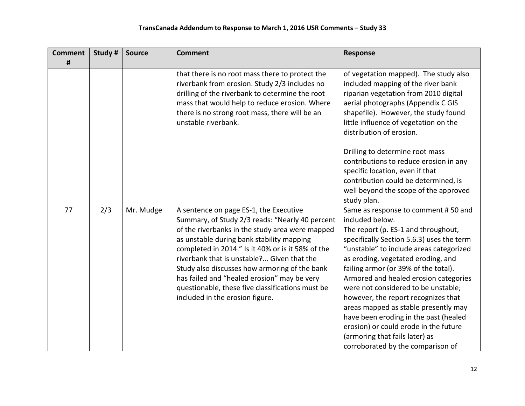| <b>Comment</b> | Study # | <b>Source</b> | <b>Comment</b>                                                                                                                                                                                                                                                                                                                                                                                                                                                                      | Response                                                                                                                                                                                                                                                                                                                                                                                                                                                                                                                                                                                    |
|----------------|---------|---------------|-------------------------------------------------------------------------------------------------------------------------------------------------------------------------------------------------------------------------------------------------------------------------------------------------------------------------------------------------------------------------------------------------------------------------------------------------------------------------------------|---------------------------------------------------------------------------------------------------------------------------------------------------------------------------------------------------------------------------------------------------------------------------------------------------------------------------------------------------------------------------------------------------------------------------------------------------------------------------------------------------------------------------------------------------------------------------------------------|
| #              |         |               |                                                                                                                                                                                                                                                                                                                                                                                                                                                                                     |                                                                                                                                                                                                                                                                                                                                                                                                                                                                                                                                                                                             |
|                |         |               | that there is no root mass there to protect the<br>riverbank from erosion. Study 2/3 includes no<br>drilling of the riverbank to determine the root<br>mass that would help to reduce erosion. Where<br>there is no strong root mass, there will be an<br>unstable riverbank.                                                                                                                                                                                                       | of vegetation mapped). The study also<br>included mapping of the river bank<br>riparian vegetation from 2010 digital<br>aerial photographs (Appendix C GIS<br>shapefile). However, the study found<br>little influence of vegetation on the<br>distribution of erosion.                                                                                                                                                                                                                                                                                                                     |
|                |         |               |                                                                                                                                                                                                                                                                                                                                                                                                                                                                                     | Drilling to determine root mass<br>contributions to reduce erosion in any<br>specific location, even if that<br>contribution could be determined, is<br>well beyond the scope of the approved<br>study plan.                                                                                                                                                                                                                                                                                                                                                                                |
| 77             | 2/3     | Mr. Mudge     | A sentence on page ES-1, the Executive<br>Summary, of Study 2/3 reads: "Nearly 40 percent<br>of the riverbanks in the study area were mapped<br>as unstable during bank stability mapping<br>completed in 2014." Is it 40% or is it 58% of the<br>riverbank that is unstable? Given that the<br>Study also discusses how armoring of the bank<br>has failed and "healed erosion" may be very<br>questionable, these five classifications must be<br>included in the erosion figure. | Same as response to comment #50 and<br>included below.<br>The report (p. ES-1 and throughout,<br>specifically Section 5.6.3) uses the term<br>"unstable" to include areas categorized<br>as eroding, vegetated eroding, and<br>failing armor (or 39% of the total).<br>Armored and healed erosion categories<br>were not considered to be unstable;<br>however, the report recognizes that<br>areas mapped as stable presently may<br>have been eroding in the past (healed<br>erosion) or could erode in the future<br>(armoring that fails later) as<br>corroborated by the comparison of |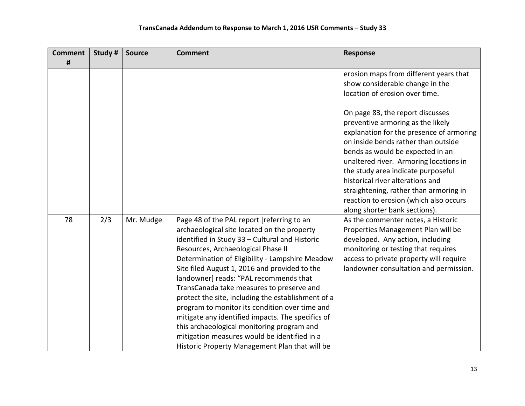| <b>Comment</b> | Study # | <b>Source</b> | <b>Comment</b>                                                                                                                                                                                                                                                                                                                                                                                                                                                                                                                                                                                                                                                                            | <b>Response</b>                                                                                                                                                                                                                                                                                                                                                                                                                       |
|----------------|---------|---------------|-------------------------------------------------------------------------------------------------------------------------------------------------------------------------------------------------------------------------------------------------------------------------------------------------------------------------------------------------------------------------------------------------------------------------------------------------------------------------------------------------------------------------------------------------------------------------------------------------------------------------------------------------------------------------------------------|---------------------------------------------------------------------------------------------------------------------------------------------------------------------------------------------------------------------------------------------------------------------------------------------------------------------------------------------------------------------------------------------------------------------------------------|
| #              |         |               |                                                                                                                                                                                                                                                                                                                                                                                                                                                                                                                                                                                                                                                                                           |                                                                                                                                                                                                                                                                                                                                                                                                                                       |
|                |         |               |                                                                                                                                                                                                                                                                                                                                                                                                                                                                                                                                                                                                                                                                                           | erosion maps from different years that<br>show considerable change in the<br>location of erosion over time.                                                                                                                                                                                                                                                                                                                           |
|                |         |               |                                                                                                                                                                                                                                                                                                                                                                                                                                                                                                                                                                                                                                                                                           | On page 83, the report discusses<br>preventive armoring as the likely<br>explanation for the presence of armoring<br>on inside bends rather than outside<br>bends as would be expected in an<br>unaltered river. Armoring locations in<br>the study area indicate purposeful<br>historical river alterations and<br>straightening, rather than armoring in<br>reaction to erosion (which also occurs<br>along shorter bank sections). |
| 78             | 2/3     | Mr. Mudge     | Page 48 of the PAL report [referring to an<br>archaeological site located on the property<br>identified in Study 33 - Cultural and Historic<br>Resources, Archaeological Phase II<br>Determination of Eligibility - Lampshire Meadow<br>Site filed August 1, 2016 and provided to the<br>landowner] reads: "PAL recommends that<br>TransCanada take measures to preserve and<br>protect the site, including the establishment of a<br>program to monitor its condition over time and<br>mitigate any identified impacts. The specifics of<br>this archaeological monitoring program and<br>mitigation measures would be identified in a<br>Historic Property Management Plan that will be | As the commenter notes, a Historic<br>Properties Management Plan will be<br>developed. Any action, including<br>monitoring or testing that requires<br>access to private property will require<br>landowner consultation and permission.                                                                                                                                                                                              |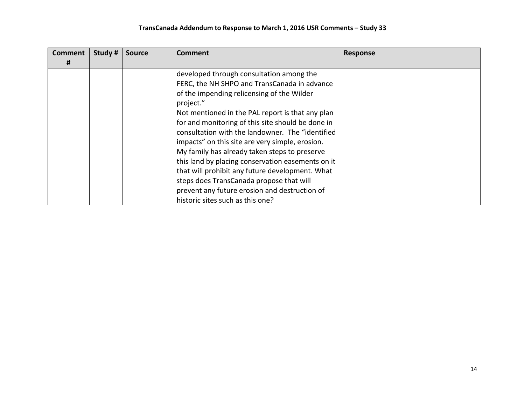## **TransCanada Addendum to Response to March 1, 2016 USR Comments – Study 33**

| <b>Comment</b> | Study # | <b>Source</b> | Comment                                           | <b>Response</b> |
|----------------|---------|---------------|---------------------------------------------------|-----------------|
| #              |         |               |                                                   |                 |
|                |         |               | developed through consultation among the          |                 |
|                |         |               | FERC, the NH SHPO and TransCanada in advance      |                 |
|                |         |               | of the impending relicensing of the Wilder        |                 |
|                |         |               | project."                                         |                 |
|                |         |               | Not mentioned in the PAL report is that any plan  |                 |
|                |         |               | for and monitoring of this site should be done in |                 |
|                |         |               | consultation with the landowner. The "identified  |                 |
|                |         |               | impacts" on this site are very simple, erosion.   |                 |
|                |         |               | My family has already taken steps to preserve     |                 |
|                |         |               | this land by placing conservation easements on it |                 |
|                |         |               | that will prohibit any future development. What   |                 |
|                |         |               | steps does TransCanada propose that will          |                 |
|                |         |               | prevent any future erosion and destruction of     |                 |
|                |         |               | historic sites such as this one?                  |                 |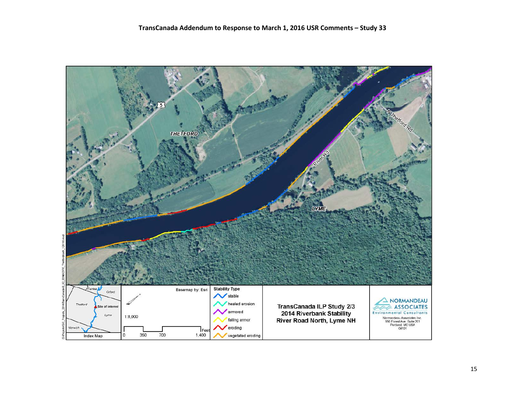